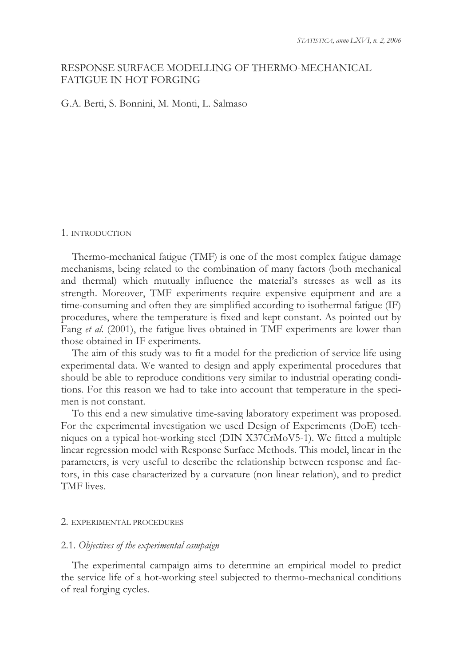# RESPONSE SURFACE MODELLING OF THERMO-MECHANICAL FATIGUE IN HOT FORGING

G.A. Berti, S. Bonnini, M. Monti, L. Salmaso

### 1. INTRODUCTION

Thermo-mechanical fatigue (TMF) is one of the most complex fatigue damage mechanisms, being related to the combination of many factors (both mechanical and thermal) which mutually influence the material's stresses as well as its strength. Moreover, TMF experiments require expensive equipment and are a time-consuming and often they are simplified according to isothermal fatigue (IF) procedures, where the temperature is fixed and kept constant. As pointed out by Fang *et al*. (2001), the fatigue lives obtained in TMF experiments are lower than those obtained in IF experiments.

The aim of this study was to fit a model for the prediction of service life using experimental data. We wanted to design and apply experimental procedures that should be able to reproduce conditions very similar to industrial operating conditions. For this reason we had to take into account that temperature in the specimen is not constant.

To this end a new simulative time-saving laboratory experiment was proposed. For the experimental investigation we used Design of Experiments (DoE) techniques on a typical hot-working steel (DIN X37CrMoV5-1). We fitted a multiple linear regression model with Response Surface Methods. This model, linear in the parameters, is very useful to describe the relationship between response and factors, in this case characterized by a curvature (non linear relation), and to predict TMF lives.

# 2. EXPERIMENTAL PROCEDURES

## 2.1. *Objectives of the experimental campaign*

The experimental campaign aims to determine an empirical model to predict the service life of a hot-working steel subjected to thermo-mechanical conditions of real forging cycles.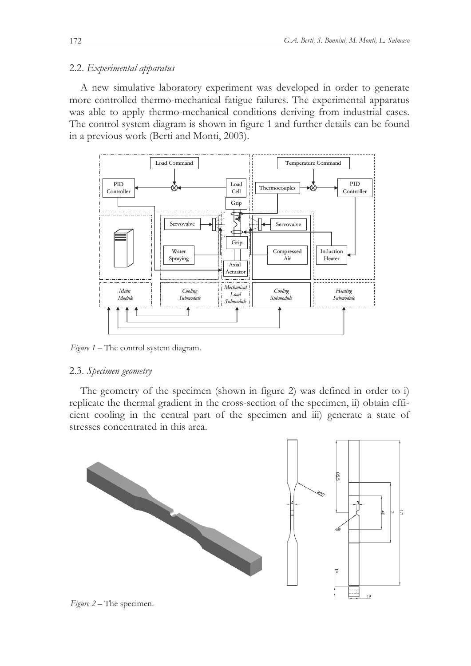# 2.2. *Experimental apparatus*

A new simulative laboratory experiment was developed in order to generate more controlled thermo-mechanical fatigue failures. The experimental apparatus was able to apply thermo-mechanical conditions deriving from industrial cases. The control system diagram is shown in figure 1 and further details can be found in a previous work (Berti and Monti, 2003).



*Figure 1* – The control system diagram.

## 2.3. *Specimen geometry*

The geometry of the specimen (shown in figure 2) was defined in order to i) replicate the thermal gradient in the cross-section of the specimen, ii) obtain efficient cooling in the central part of the specimen and iii) generate a state of stresses concentrated in this area.



*Figure 2* – The specimen.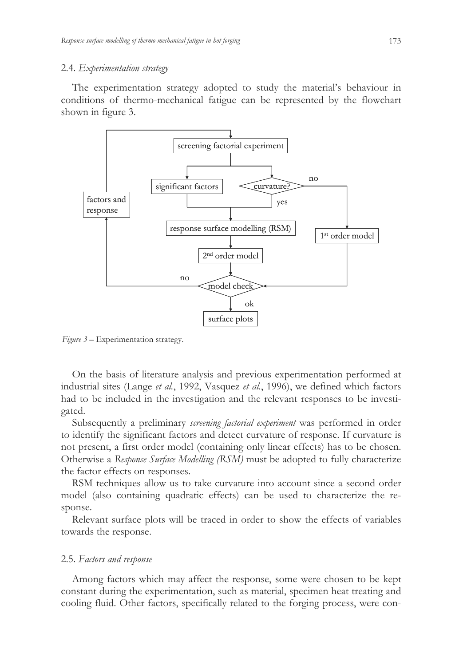## 2.4. *Experimentation strategy*

The experimentation strategy adopted to study the material's behaviour in conditions of thermo-mechanical fatigue can be represented by the flowchart shown in figure 3.



*Figure 3* – Experimentation strategy.

On the basis of literature analysis and previous experimentation performed at industrial sites (Lange *et al.*, 1992, Vasquez *et al.*, 1996), we defined which factors had to be included in the investigation and the relevant responses to be investigated.

Subsequently a preliminary *screening factorial experiment* was performed in order to identify the significant factors and detect curvature of response. If curvature is not present, a first order model (containing only linear effects) has to be chosen. Otherwise a *Response Surface Modelling (RSM)* must be adopted to fully characterize the factor effects on responses.

RSM techniques allow us to take curvature into account since a second order model (also containing quadratic effects) can be used to characterize the response.

Relevant surface plots will be traced in order to show the effects of variables towards the response.

## 2.5. *Factors and response*

Among factors which may affect the response, some were chosen to be kept constant during the experimentation, such as material, specimen heat treating and cooling fluid. Other factors, specifically related to the forging process, were con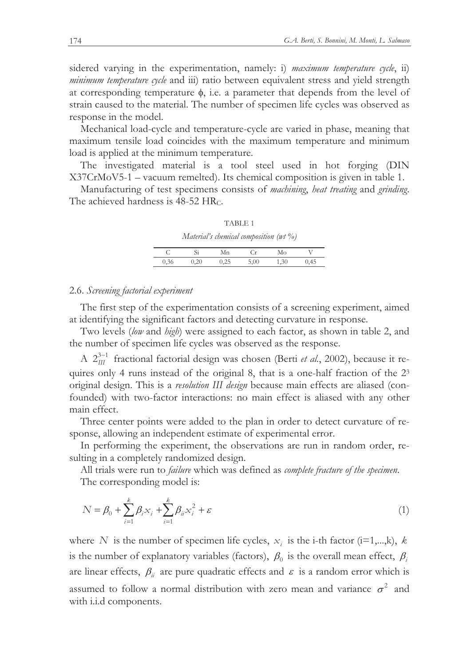sidered varying in the experimentation, namely: i) *maximum temperature cycle*, ii) *minimum temperature cycle* and iii) ratio between equivalent stress and yield strength at corresponding temperature  $\phi$ , i.e. a parameter that depends from the level of strain caused to the material. The number of specimen life cycles was observed as response in the model.

Mechanical load-cycle and temperature-cycle are varied in phase, meaning that maximum tensile load coincides with the maximum temperature and minimum load is applied at the minimum temperature.

The investigated material is a tool steel used in hot forging (DIN X37CrMoV5-1 – vacuum remelted). Its chemical composition is given in table 1.

Manufacturing of test specimens consists of *machining*, *heat treating* and *grinding*. The achieved hardness is 48-52 HR<sub>C</sub>.

| Material's chemical composition ( $wt \%$ ) |      |      |      |      |      |  |  |
|---------------------------------------------|------|------|------|------|------|--|--|
| C.                                          | Si   | Мn   | C.r  | Mо   |      |  |  |
| 0,36                                        | 0.20 | 0.25 | 5,00 | 1.30 | 0.45 |  |  |

TABLE 1

## 2.6. *Screening factorial experiment*

The first step of the experimentation consists of a screening experiment, aimed at identifying the significant factors and detecting curvature in response.

Two levels (*low* and *high*) were assigned to each factor, as shown in table 2, and the number of specimen life cycles was observed as the response.

A  $2_{III}^{3-1}$  fractional factorial design was chosen (Berti *et al.*, 2002), because it requires only 4 runs instead of the original 8, that is a one-half fraction of the 2<sup>3</sup> original design. This is a *resolution III design* because main effects are aliased (confounded) with two-factor interactions: no main effect is aliased with any other main effect.

Three center points were added to the plan in order to detect curvature of response, allowing an independent estimate of experimental error.

In performing the experiment, the observations are run in random order, resulting in a completely randomized design.

All trials were run to *failure* which was defined as *complete fracture of the specimen*. The corresponding model is:

$$
N = \beta_0 + \sum_{i=1}^{k} \beta_i x_i + \sum_{i=1}^{k} \beta_{ii} x_i^2 + \varepsilon
$$
 (1)

where *N* is the number of specimen life cycles,  $x_i$  is the i-th factor (i=1,...,k), *k* is the number of explanatory variables (factors),  $\beta_0$  is the overall mean effect,  $\beta_i$ are linear effects,  $\beta_{ii}$  are pure quadratic effects and  $\varepsilon$  is a random error which is assumed to follow a normal distribution with zero mean and variance  $\sigma^2$  and with i.i.d components.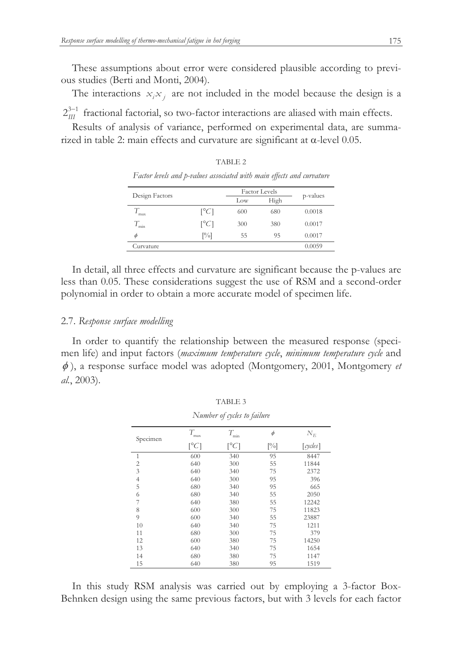These assumptions about error were considered plausible according to previous studies (Berti and Monti, 2004).

The interactions  $x_i x_j$  are not included in the model because the design is a

 $2_{III}^{3-1}$  fractional factorial, so two-factor interactions are aliased with main effects.

Results of analysis of variance, performed on experimental data, are summarized in table 2: main effects and curvature are significant at  $\alpha$ -level 0.05.

TABLE 2

| Factor levels and p-values associated with main effects and curvature |        |                      |            |                |  |
|-----------------------------------------------------------------------|--------|----------------------|------------|----------------|--|
| Design Factors                                                        |        | <b>Factor</b> Levels |            |                |  |
|                                                                       |        | Low                  | High       | p-values       |  |
|                                                                       | $\sim$ |                      | $\sqrt{2}$ | <u>A AA1 A</u> |  |

| $\frac{1}{2}$ |                         | Low | High | $P$ , where $\sim$ |
|---------------|-------------------------|-----|------|--------------------|
| max           | $\lceil^{\circ}C\rceil$ | 600 | 680  | 0.0018             |
| min           | $\lceil^{\circ}C\rceil$ | 300 | 380  | 0.0017             |
| φ             | $\left[\%\right]$       | 55  | 95   | 0.0017             |
| Curvature     |                         |     |      | 0.0059             |

In detail, all three effects and curvature are significant because the p-values are less than 0.05. These considerations suggest the use of RSM and a second-order polynomial in order to obtain a more accurate model of specimen life.

## 2.7. *Response surface modelling*

In order to quantify the relationship between the measured response (specimen life) and input factors (*maximum temperature cycle*, *minimum temperature cycle* and  $\phi$ ), a response surface model was adopted (Montgomery, 2001, Montgomery *et al.*, 2003).

TABLE 3

| Number of cycles to failure |                           |                         |        |              |  |
|-----------------------------|---------------------------|-------------------------|--------|--------------|--|
| Specimen                    | $T_{\rm max}$             | $T_{\rm min}$           | $\phi$ | $N_E$        |  |
|                             | $\lceil{^{\circ}C}\rceil$ | $\lceil^{\circ}C\rceil$ | [%]    | $[\,cycles]$ |  |
| 1                           | 600                       | 340                     | 95     | 8447         |  |
| $\overline{2}$              | 640                       | 300                     | 55     | 11844        |  |
| 3                           | 640                       | 340                     | 75     | 2372         |  |
| $\overline{4}$              | 640                       | 300                     | 95     | 396          |  |
| 5                           | 680                       | 340                     | 95     | 665          |  |
| 6                           | 680                       | 340                     | 55     | 2050         |  |
| 7                           | 640                       | 380                     | 55     | 12242        |  |
| 8                           | 600                       | 300                     | 75     | 11823        |  |
| 9                           | 600                       | 340                     | 55     | 23887        |  |
| 10                          | 640                       | 340                     | 75     | 1211         |  |
| 11                          | 680                       | 300                     | 75     | 379          |  |
| 12                          | 600                       | 380                     | 75     | 14250        |  |
| 13                          | 640                       | 340                     | 75     | 1654         |  |
| 14                          | 680                       | 380                     | 75     | 1147         |  |
| 15                          | 640                       | 380                     | 95     | 1519         |  |

In this study RSM analysis was carried out by employing a 3-factor Box-Behnken design using the same previous factors, but with 3 levels for each factor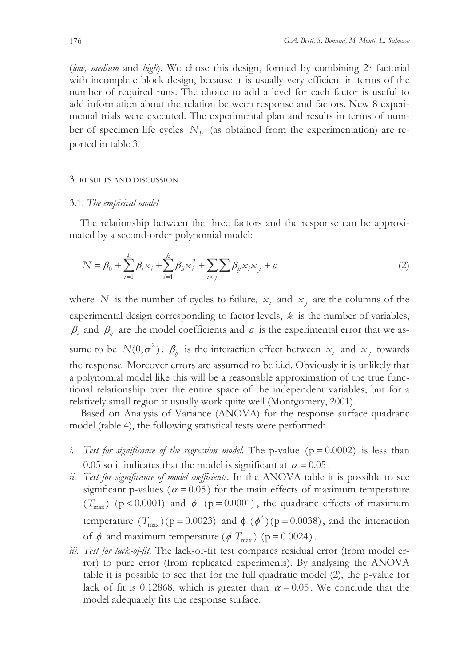(low, medium and high). We chose this design, formed by combining 2<sup>k</sup> factorial with incomplete block design, because it is usually very efficient in terms of the number of required runs. The choice to add a level for each factor is useful to add information about the relation between response and factors. New 8 experimental trials were executed. The experimental plan and results in terms of number of specimen life cycles *N<sup>E</sup>* (as obtained from the experimentation) are reported in table 3.

### 3. RESULTS AND DISCUSSION

## 3.1. *The empirical model*

The relationship between the three factors and the response can be approximated by a second-order polynomial model:

$$
N = \beta_0 + \sum_{i=1}^{k} \beta_i x_i + \sum_{i=1}^{k} \beta_{ii} x_i^2 + \sum_{i < j} \sum_{j < j} \beta_{ij} x_i x_j + \varepsilon \tag{2}
$$

where *N* is the number of cycles to failure,  $x_i$  and  $x_j$  are the columns of the experimental design corresponding to factor levels, *k* is the number of variables,  $\beta_i$  and  $\beta_j$  are the model coefficients and  $\varepsilon$  is the experimental error that we assume to be  $N(0, \sigma^2)$ .  $\beta_{ij}$  is the interaction effect between  $x_i$  and  $x_j$  towards the response. Moreover errors are assumed to be i.i.d. Obviously it is unlikely that a polynomial model like this will be a reasonable approximation of the true functional relationship over the entire space of the independent variables, but for a relatively small region it usually work quite well (Montgomery, 2001).

Based on Analysis of Variance (ANOVA) for the response surface quadratic model (table 4), the following statistical tests were performed:

- *i. Test for significance of the regression model.* The p-value  $(p = 0.0002)$  is less than 0.05 so it indicates that the model is significant at  $\alpha = 0.05$ .
- *ii. Test for significance of model coefficients.* In the ANOVA table it is possible to see significant p-values ( $\alpha = 0.05$ ) for the main effects of maximum temperature  $(T_{\text{max}})$  (p < 0.0001) and  $\phi$  (p = 0.0001), the quadratic effects of maximum temperature  $(T_{\text{max}})(p = 0.0023)$  and  $\phi (\phi^2)(p = 0.0038)$ , and the interaction of  $\phi$  and maximum temperature ( $\phi$  *T*<sub>max</sub>) (p = 0.0024).
- *iii. Test for lack-of-fit.* The lack-of-fit test compares residual error (from model error) to pure error (from replicated experiments). By analysing the ANOVA table it is possible to see that for the full quadratic model (2), the p-value for lack of fit is 0.12868, which is greater than  $\alpha = 0.05$ . We conclude that the model adequately fits the response surface.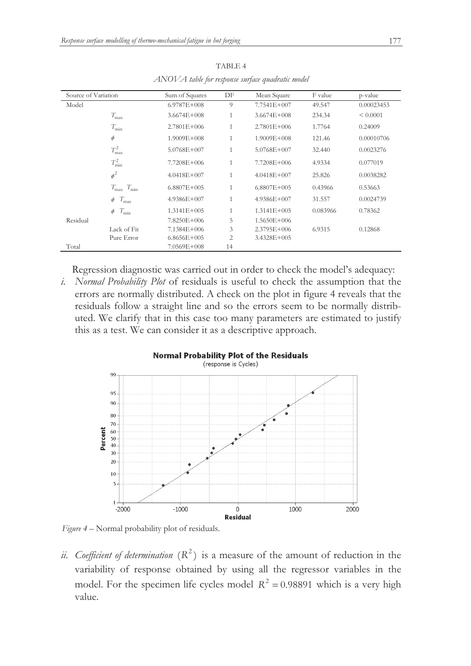| Source of Variation |                                   | Sum of Squares  | DF             | Mean Square     | F value  | p-value    |
|---------------------|-----------------------------------|-----------------|----------------|-----------------|----------|------------|
| Model               |                                   | $6.9787E + 008$ | 9              | 7.7541E+007     | 49.547   | 0.00023453 |
|                     | $T_{\rm max}$                     | $3.6674E + 008$ | $\mathbf{1}$   | $3.6674E + 008$ | 234.34   | < 0.0001   |
|                     | $T_{\min}$                        | $2.7801E+006$   | 1              | $2.7801E + 006$ | 1.7764   | 0.24009    |
|                     | $\phi$                            | 1.9009E+008     | $\mathbf{1}$   | $1.9009E + 008$ | 121.46   | 0.00010706 |
|                     | $T_{\rm max}^2$                   | 5.0768E+007     |                | $5.0768E + 007$ | 32.440   | 0.0023276  |
|                     | $T_{\min}^2$                      | 7.7208E+006     | 1              | 7.7208E+006     | 4.9334   | 0.077019   |
|                     | $\phi^2$                          | $4.0418E + 007$ | $\mathbf{1}$   | $4.0418E + 007$ | 25.826   | 0.0038282  |
|                     | $T_{\text{max}}$ $T_{\text{min}}$ | $6.8807E + 005$ | 1              | $6.8807E + 005$ | 0.43966  | 0.53663    |
|                     | $T_{\text{max}}$<br>$\phi$        | $4.9386E + 007$ | $\mathbf{1}$   | 4.9386E+007     | 31.557   | 0.0024739  |
|                     | $T_{\min}$<br>$\phi$              | $1.3141E+005$   | 1              | $1.3141E+005$   | 0.083966 | 0.78362    |
| Residual            |                                   | 7.8250E+006     | 5              | $1.5650E + 006$ |          |            |
|                     | Lack of Fit                       | 7.1384E+006     | 3              | $2.3795E+006$   | 6.9315   | 0.12868    |
|                     | Pure Error                        | $6.8656E + 005$ | $\overline{2}$ | 3.4328E+005     |          |            |
| Total               |                                   | 7.0569E+008     | 14             |                 |          |            |

TABLE 4 *ANOVA table for response surface quadratic model* 

Regression diagnostic was carried out in order to check the model's adequacy:

*i. Normal Probability Plot* of residuals is useful to check the assumption that the errors are normally distributed. A check on the plot in figure 4 reveals that the residuals follow a straight line and so the errors seem to be normally distributed. We clarify that in this case too many parameters are estimated to justify this as a test. We can consider it as a descriptive approach.



*Figure 4* – Normal probability plot of residuals.

*ii.* Coefficient of determination  $(R^2)$  is a measure of the amount of reduction in the variability of response obtained by using all the regressor variables in the model. For the specimen life cycles model  $R^2 = 0.98891$  which is a very high value.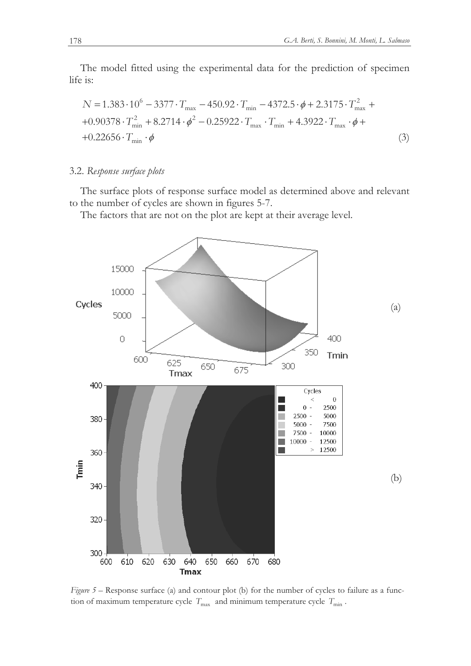The model fitted using the experimental data for the prediction of specimen life is:

$$
N = 1.383 \cdot 10^{6} - 3377 \cdot T_{\text{max}} - 450.92 \cdot T_{\text{min}} - 4372.5 \cdot \phi + 2.3175 \cdot T_{\text{max}}^{2} +
$$
  
+0.90378 \cdot T\_{\text{min}}^{2} + 8.2714 \cdot \phi^{2} - 0.25922 \cdot T\_{\text{max}} \cdot T\_{\text{min}} + 4.3922 \cdot T\_{\text{max}} \cdot \phi +  
+0.22656 \cdot T\_{\text{min}} \cdot \phi (3)

# 3.2. *Response surface plots*

The surface plots of response surface model as determined above and relevant to the number of cycles are shown in figures 5-7.

The factors that are not on the plot are kept at their average level.



*Figure 5* – Response surface (a) and contour plot (b) for the number of cycles to failure as a function of maximum temperature cycle  $T_{\text{max}}$  and minimum temperature cycle  $T_{\text{min}}$ .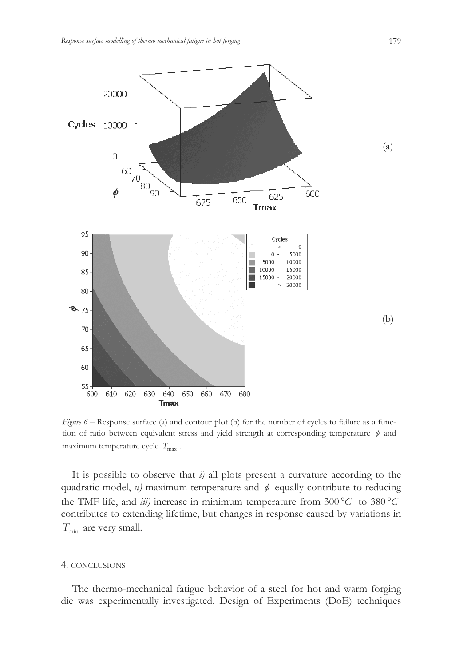

*Figure 6* – Response surface (a) and contour plot (b) for the number of cycles to failure as a function of ratio between equivalent stress and yield strength at corresponding temperature  $\phi$  and maximum temperature cycle  $T_{\text{max}}$ .

It is possible to observe that *i)* all plots present a curvature according to the quadratic model,  $ii$ ) maximum temperature and  $\phi$  equally contribute to reducing the TMF life, and *iii*) increase in minimum temperature from  $300\degree C$  to  $380\degree C$ contributes to extending lifetime, but changes in response caused by variations in *T*<sub>min</sub> are very small.

#### 4. CONCLUSIONS

The thermo-mechanical fatigue behavior of a steel for hot and warm forging die was experimentally investigated. Design of Experiments (DoE) techniques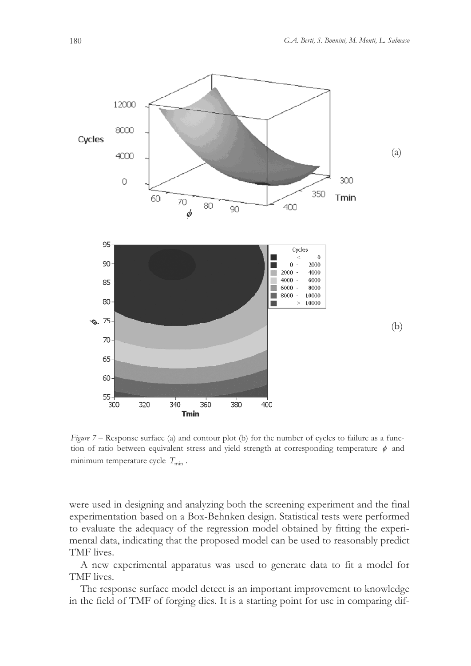

*Figure 7* – Response surface (a) and contour plot (b) for the number of cycles to failure as a function of ratio between equivalent stress and yield strength at corresponding temperature  $\phi$  and minimum temperature cycle  $T_{\text{min}}$ .

were used in designing and analyzing both the screening experiment and the final experimentation based on a Box-Behnken design. Statistical tests were performed to evaluate the adequacy of the regression model obtained by fitting the experimental data, indicating that the proposed model can be used to reasonably predict TMF lives.

A new experimental apparatus was used to generate data to fit a model for TMF lives.

The response surface model detect is an important improvement to knowledge in the field of TMF of forging dies. It is a starting point for use in comparing dif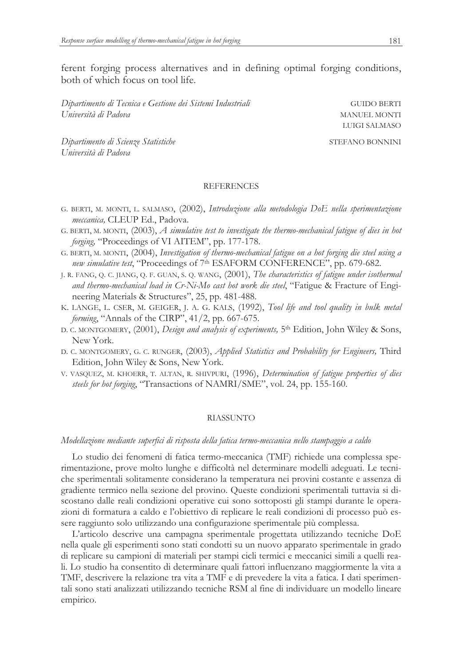ferent forging process alternatives and in defining optimal forging conditions, both of which focus on tool life.

*Dipartimento di Tecnica e Gestione dei Sistemi Industriali* GUIDO GERTI *Università di Padova* MANUEL MONTI

*Dipartimento di Scienze Statistiche* STEFANO BONNINI *Università di Padova*

LUIGI SALMASO

### **REFERENCES**

- G. BERTI, M. MONTI, L. SALMASO, (2002), *Introduzione alla metodologia DoE nella sperimentazione meccanica,* CLEUP Ed., Padova.
- G. BERTI, M. MONTI, (2003), *A simulative test to investigate the thermo-mechanical fatigue of dies in hot forging,* "Proceedings of VI AITEM", pp. 177-178.
- G. BERTI, M. MONTI, (2004), *Investigation of thermo-mechanical fatigue on a hot forging die steel using a new simulative test*, "Proceedings of 7th ESAFORM CONFERENCE", pp. 679-682.
- J. R. FANG, Q. C. JIANG, Q. F. GUAN, S. Q. WANG, (2001), *The characteristics of fatigue under isothermal and thermo-mechanical load in Cr-Ni-Mo cast hot work die steel*, "Fatigue & Fracture of Engineering Materials & Structures", 25, pp. 481-488.
- K. LANGE, L. CSER, M. GEIGER, J. A. G. KALS, (1992), *Tool life and tool quality in bulk metal forming*, "Annals of the CIRP", 41/2, pp. 667-675.
- D. C. MONTGOMERY, (2001), *Design and analysis of experiments,* 5th Edition, John Wiley & Sons, New York.
- D. C. MONTGOMERY, G. C. RUNGER, (2003), *Applied Statistics and Probability for Engineers,* Third Edition, John Wiley & Sons, New York.
- V. VASQUEZ, M. KHOERR, T. ALTAN, R. SHIVPURI, (1996), *Determination of fatigue properties of dies steels for hot forging*, "Transactions of NAMRI/SME", vol. 24, pp. 155-160.

#### RIASSUNTO

#### *Modellazione mediante superfici di risposta della fatica termo-meccanica nello stampaggio a caldo*

Lo studio dei fenomeni di fatica termo-meccanica (TMF) richiede una complessa sperimentazione, prove molto lunghe e difficoltà nel determinare modelli adeguati. Le tecniche sperimentali solitamente considerano la temperatura nei provini costante e assenza di gradiente termico nella sezione del provino. Queste condizioni sperimentali tuttavia si discostano dalle reali condizioni operative cui sono sottoposti gli stampi durante le operazioni di formatura a caldo e l'obiettivo di replicare le reali condizioni di processo può essere raggiunto solo utilizzando una configurazione sperimentale più complessa.

L'articolo descrive una campagna sperimentale progettata utilizzando tecniche DoE nella quale gli esperimenti sono stati condotti su un nuovo apparato sperimentale in grado di replicare su campioni di materiali per stampi cicli termici e meccanici simili a quelli reali. Lo studio ha consentito di determinare quali fattori influenzano maggiormente la vita a TMF, descrivere la relazione tra vita a TMF e di prevedere la vita a fatica. I dati sperimentali sono stati analizzati utilizzando tecniche RSM al fine di individuare un modello lineare empirico.